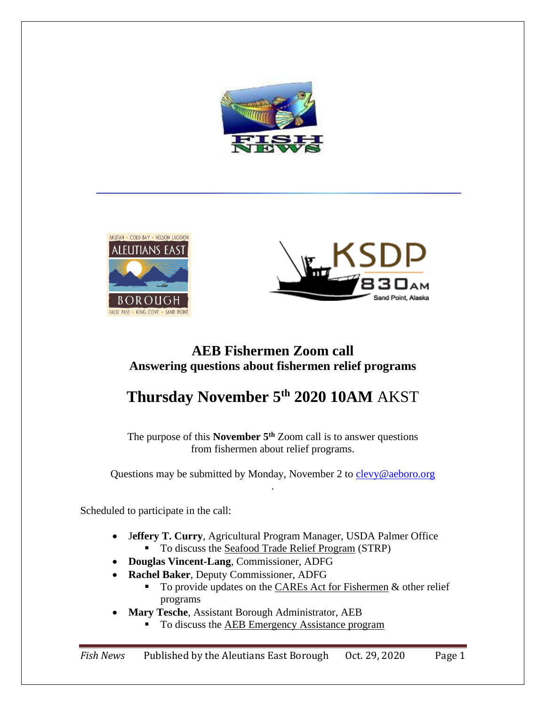





## **AEB Fishermen Zoom call Answering questions about fishermen relief programs**

## **Thursday November 5th 2020 10AM** AKST

The purpose of this **November 5th** Zoom call is to answer questions from fishermen about relief programs.

Questions may be submitted by Monday, November 2 to [clevy@aeboro.org](mailto:clevy@aeboro.org) .

Scheduled to participate in the call:

- J**effery T. Curry**, Agricultural Program Manager, USDA Palmer Office ■ To discuss the <u>Seafood Trade Relief Program</u> (STRP)
- **Douglas Vincent-Lang**, Commissioner, ADFG
- **Rachel Baker**, Deputy Commissioner, ADFG
	- $\blacksquare$  To provide updates on the CAREs Act for Fishermen & other relief programs
- **Mary Tesche**, Assistant Borough Administrator, AEB
	- To discuss the AEB Emergency Assistance program